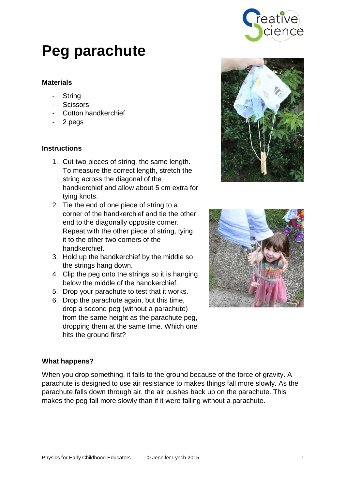

# **Peg parachute**

## **Materials**

- String
- **Scissors**
- Cotton handkerchief
- 2 pegs

## **Instructions**

- 1. Cut two pieces of string, the same length. To measure the correct length, stretch the string across the diagonal of the handkerchief and allow about 5 cm extra for tying knots.
- 2. Tie the end of one piece of string to a corner of the handkerchief and tie the other end to the diagonally opposite corner. Repeat with the other piece of string, tying it to the other two corners of the handkerchief.
- 3. Hold up the handkerchief by the middle so the strings hang down.
- 4. Clip the peg onto the strings so it is hanging below the middle of the handkerchief.
- 5. Drop your parachute to test that it works.
- 6. Drop the parachute again, but this time, drop a second peg (without a parachute) from the same height as the parachute peg, dropping them at the same time. Which one hits the ground first?





#### **What happens?**

When you drop something, it falls to the ground because of the force of gravity. A parachute is designed to use air resistance to makes things fall more slowly. As the parachute falls down through air, the air pushes back up on the parachute. This makes the peg fall more slowly than if it were falling without a parachute.